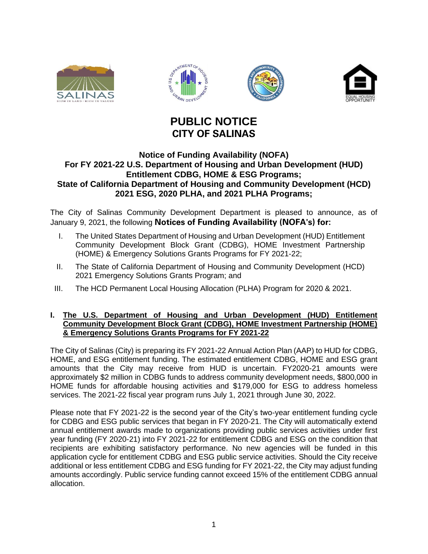





# **PUBLIC NOTICE CITY OF SALINAS**

## **Notice of Funding Availability (NOFA) For FY 2021-22 U.S. Department of Housing and Urban Development (HUD) Entitlement CDBG, HOME & ESG Programs; State of California Department of Housing and Community Development (HCD) 2021 ESG, 2020 PLHA, and 2021 PLHA Programs;**

The City of Salinas Community Development Department is pleased to announce, as of January 9, 2021, the following **Notices of Funding Availability (NOFA's) for:**

- I. The United States Department of Housing and Urban Development (HUD) Entitlement Community Development Block Grant (CDBG), HOME Investment Partnership (HOME) & Emergency Solutions Grants Programs for FY 2021-22;
- II. The State of California Department of Housing and Community Development (HCD) 2021 Emergency Solutions Grants Program; and
- III. The HCD Permanent Local Housing Allocation (PLHA) Program for 2020 & 2021.

### **I. The U.S. Department of Housing and Urban Development (HUD) Entitlement Community Development Block Grant (CDBG), HOME Investment Partnership (HOME) & Emergency Solutions Grants Programs for FY 2021-22**

The City of Salinas (City) is preparing its FY 2021-22 Annual Action Plan (AAP) to HUD for CDBG, HOME, and ESG entitlement funding. The estimated entitlement CDBG, HOME and ESG grant amounts that the City may receive from HUD is uncertain. FY2020-21 amounts were approximately \$2 million in CDBG funds to address community development needs, \$800,000 in HOME funds for affordable housing activities and \$179,000 for ESG to address homeless services. The 2021-22 fiscal year program runs July 1, 2021 through June 30, 2022.

Please note that FY 2021-22 is the second year of the City's two-year entitlement funding cycle for CDBG and ESG public services that began in FY 2020-21. The City will automatically extend annual entitlement awards made to organizations providing public services activities under first year funding (FY 2020-21) into FY 2021-22 for entitlement CDBG and ESG on the condition that recipients are exhibiting satisfactory performance. No new agencies will be funded in this application cycle for entitlement CDBG and ESG public service activities. Should the City receive additional or less entitlement CDBG and ESG funding for FY 2021-22, the City may adjust funding amounts accordingly. Public service funding cannot exceed 15% of the entitlement CDBG annual allocation.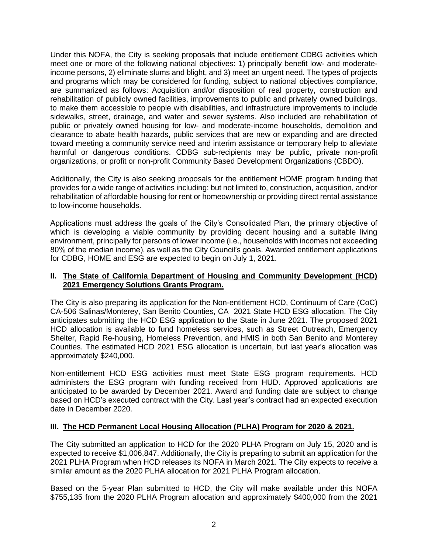Under this NOFA, the City is seeking proposals that include entitlement CDBG activities which meet one or more of the following national objectives: 1) principally benefit low- and moderateincome persons, 2) eliminate slums and blight, and 3) meet an urgent need. The types of projects and programs which may be considered for funding, subject to national objectives compliance, are summarized as follows: Acquisition and/or disposition of real property, construction and rehabilitation of publicly owned facilities, improvements to public and privately owned buildings, to make them accessible to people with disabilities, and infrastructure improvements to include sidewalks, street, drainage, and water and sewer systems. Also included are rehabilitation of public or privately owned housing for low- and moderate-income households, demolition and clearance to abate health hazards, public services that are new or expanding and are directed toward meeting a community service need and interim assistance or temporary help to alleviate harmful or dangerous conditions. CDBG sub-recipients may be public, private non-profit organizations, or profit or non-profit Community Based Development Organizations (CBDO).

Additionally, the City is also seeking proposals for the entitlement HOME program funding that provides for a wide range of activities including; but not limited to, construction, acquisition, and/or rehabilitation of affordable housing for rent or homeownership or providing direct rental assistance to low-income households.

Applications must address the goals of the City's Consolidated Plan, the primary objective of which is developing a viable community by providing decent housing and a suitable living environment, principally for persons of lower income (i.e., households with incomes not exceeding 80% of the median income), as well as the City Council's goals. Awarded entitlement applications for CDBG, HOME and ESG are expected to begin on July 1, 2021.

### **II. The State of California Department of Housing and Community Development (HCD) 2021 Emergency Solutions Grants Program.**

The City is also preparing its application for the Non-entitlement HCD, Continuum of Care (CoC) CA-506 Salinas/Monterey, San Benito Counties, CA 2021 State HCD ESG allocation. The City anticipates submitting the HCD ESG application to the State in June 2021. The proposed 2021 HCD allocation is available to fund homeless services, such as Street Outreach, Emergency Shelter, Rapid Re-housing, Homeless Prevention, and HMIS in both San Benito and Monterey Counties. The estimated HCD 2021 ESG allocation is uncertain, but last year's allocation was approximately \$240,000.

Non-entitlement HCD ESG activities must meet State ESG program requirements. HCD administers the ESG program with funding received from HUD. Approved applications are anticipated to be awarded by December 2021. Award and funding date are subject to change based on HCD's executed contract with the City. Last year's contract had an expected execution date in December 2020.

## **III. The HCD Permanent Local Housing Allocation (PLHA) Program for 2020 & 2021.**

The City submitted an application to HCD for the 2020 PLHA Program on July 15, 2020 and is expected to receive \$1,006,847. Additionally, the City is preparing to submit an application for the 2021 PLHA Program when HCD releases its NOFA in March 2021. The City expects to receive a similar amount as the 2020 PLHA allocation for 2021 PLHA Program allocation.

Based on the 5-year Plan submitted to HCD, the City will make available under this NOFA \$755,135 from the 2020 PLHA Program allocation and approximately \$400,000 from the 2021